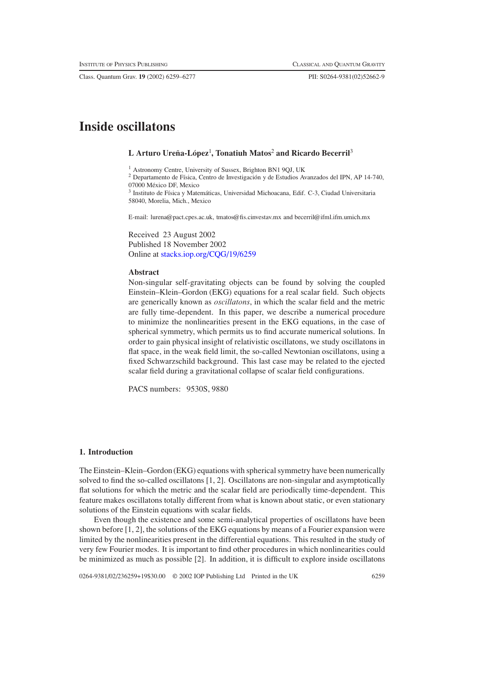Class. Quantum Grav. **19** (2002) 6259–6277 PII: S0264-9381(02)52662-9

# **Inside oscillatons**

## **L Arturo Urena-L ˜ opez ´** <sup>1</sup> **, Tonatiuh Matos**<sup>2</sup> **and Ricardo Becerril**<sup>3</sup>

<sup>1</sup> Astronomy Centre, University of Sussex, Brighton BN1 9OJ, UK

<sup>2</sup> Departamento de Física, Centro de Investigación y de Estudios Avanzados del IPN, AP 14-740, 07000 México DF, Mexico

<sup>3</sup> Instituto de Física y Matemáticas, Universidad Michoacana, Edif. C-3, Ciudad Universitaria 58040, Morelia, Mich., Mexico

E-mail: lurena@pact.cpes.ac.uk, tmatos@fis.cinvestav.mx and becerril@ifml.ifm.umich.mx

Received 23 August 2002 Published 18 November 2002 Online at [stacks.iop.org/CQG/19/6259](http://stacks.iop.org/cq/19/6259)

#### **Abstract**

Non-singular self-gravitating objects can be found by solving the coupled Einstein–Klein–Gordon (EKG) equations for a real scalar field. Such objects are generically known as *oscillatons*, in which the scalar field and the metric are fully time-dependent. In this paper, we describe a numerical procedure to minimize the nonlinearities present in the EKG equations, in the case of spherical symmetry, which permits us to find accurate numerical solutions. In order to gain physical insight of relativistic oscillatons, we study oscillatons in flat space, in the weak field limit, the so-called Newtonian oscillatons, using a fixed Schwarzschild background. This last case may be related to the ejected scalar field during a gravitational collapse of scalar field configurations.

PACS numbers: 9530S, 9880

## **1. Introduction**

The Einstein–Klein–Gordon (EKG) equations with spherical symmetry have been numerically solved to find the so-called oscillatons [1, 2]. Oscillatons are non-singular and asymptotically flat solutions for which the metric and the scalar field are periodically time-dependent. This feature makes oscillatons totally different from what is known about static, or even stationary solutions of the Einstein equations with scalar fields.

Even though the existence and some semi-analytical properties of oscillatons have been shown before [1, 2], the solutions of the EKG equations by means of a Fourier expansion were limited by the nonlinearities present in the differential equations. This resulted in the study of very few Fourier modes. It is important to find other procedures in which nonlinearities could be minimized as much as possible [2]. In addition, it is difficult to explore inside oscillatons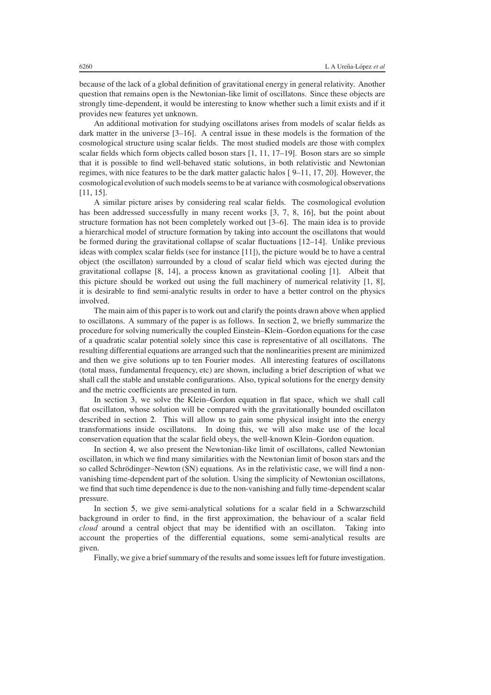because of the lack of a global definition of gravitational energy in general relativity. Another question that remains open is the Newtonian-like limit of oscillatons. Since these objects are strongly time-dependent, it would be interesting to know whether such a limit exists and if it provides new features yet unknown.

An additional motivation for studying oscillatons arises from models of scalar fields as dark matter in the universe [3–16]. A central issue in these models is the formation of the cosmological structure using scalar fields. The most studied models are those with complex scalar fields which form objects called boson stars [1, 11, 17–19]. Boson stars are so simple that it is possible to find well-behaved static solutions, in both relativistic and Newtonian regimes, with nice features to be the dark matter galactic halos [ 9–11, 17, 20]. However, the cosmological evolution of such models seems to be at variance with cosmological observations [11, 15].

A similar picture arises by considering real scalar fields. The cosmological evolution has been addressed successfully in many recent works [3, 7, 8, 16], but the point about structure formation has not been completely worked out [3–6]. The main idea is to provide a hierarchical model of structure formation by taking into account the oscillatons that would be formed during the gravitational collapse of scalar fluctuations [12–14]. Unlike previous ideas with complex scalar fields (see for instance [11]), the picture would be to have a central object (the oscillaton) surrounded by a cloud of scalar field which was ejected during the gravitational collapse [8, 14], a process known as gravitational cooling [1]. Albeit that this picture should be worked out using the full machinery of numerical relativity [1, 8], it is desirable to find semi-analytic results in order to have a better control on the physics involved.

The main aim of this paper is to work out and clarify the points drawn above when applied to oscillatons. A summary of the paper is as follows. In section [2,](#page-2-0) we briefly summarize the procedure for solving numerically the coupled Einstein–Klein–Gordon equations for the case of a quadratic scalar potential solely since this case is representative of all oscillatons. The resulting differential equations are arranged such that the nonlinearities present are minimized and then we give solutions up to ten Fourier modes. All interesting features of oscillatons (total mass, fundamental frequency, etc) are shown, including a brief description of what we shall call the stable and unstable configurations. Also, typical solutions for the energy density and the metric coefficients are presented in turn.

In section [3,](#page-8-0) we solve the Klein–Gordon equation in flat space, which we shall call flat oscillaton, whose solution will be compared with the gravitationally bounded oscillaton described in section [2.](#page-2-0) This will allow us to gain some physical insight into the energy transformations inside oscillatons. In doing this, we will also make use of the local conservation equation that the scalar field obeys, the well-known Klein–Gordon equation.

In section [4,](#page-10-0) we also present the Newtonian-like limit of oscillatons, called Newtonian oscillaton, in which we find many similarities with the Newtonian limit of boson stars and the so called Schrödinger–Newton (SN) equations. As in the relativistic case, we will find a nonvanishing time-dependent part of the solution. Using the simplicity of Newtonian oscillatons, we find that such time dependence is due to the non-vanishing and fully time-dependent scalar pressure.

In section [5,](#page-15-0) we give semi-analytical solutions for a scalar field in a Schwarzschild background in order to find, in the first approximation, the behaviour of a scalar field *cloud* around a central object that may be identified with an oscillaton. Taking into account the properties of the differential equations, some semi-analytical results are given.

Finally, we give a brief summary of the results and some issues left for future investigation.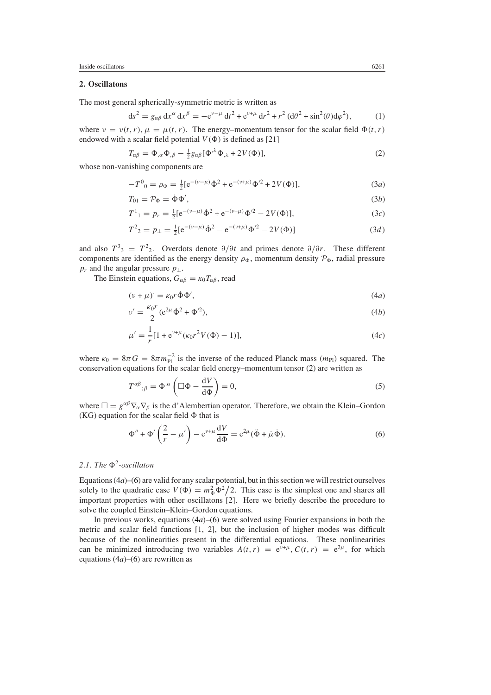## <span id="page-2-0"></span>**2. Oscillatons**

<span id="page-2-6"></span>The most general spherically-symmetric metric is written as

$$
ds^{2} = g_{\alpha\beta} dx^{\alpha} dx^{\beta} = -e^{\nu-\mu} dt^{2} + e^{\nu+\mu} dr^{2} + r^{2} (d\theta^{2} + \sin^{2}(\theta)d\varphi^{2}),
$$
 (1)

<span id="page-2-1"></span>where  $\nu = \nu(t, r)$ ,  $\mu = \mu(t, r)$ . The energy–momentum tensor for the scalar field  $\Phi(t, r)$ endowed with a scalar field potential  $V(\Phi)$  is defined as [21]

$$
T_{\alpha\beta} = \Phi_{,\alpha}\Phi_{,\beta} - \frac{1}{2}g_{\alpha\beta}[\Phi^{,\lambda}\Phi_{,\lambda} + 2V(\Phi)],
$$
\n(2)

<span id="page-2-7"></span><span id="page-2-5"></span><span id="page-2-4"></span>whose non-vanishing components are

$$
-T^{0}{}_{0} = \rho_{\Phi} = \frac{1}{2} [e^{-(\nu-\mu)} \dot{\Phi}^{2} + e^{-(\nu+\mu)} \Phi^{2} + 2V(\Phi)], \tag{3a}
$$

$$
T_{01} = \mathcal{P}_{\Phi} = \dot{\Phi}\Phi',\tag{3b}
$$

$$
T^{1}_{1} = p_{r} = \frac{1}{2} [e^{-(\nu - \mu)} \dot{\Phi}^{2} + e^{-(\nu + \mu)} \Phi^{2} - 2V(\Phi)],
$$
 (3*c*)

$$
T^{2}_{2} = p_{\perp} = \frac{1}{2} [e^{-(\nu - \mu)} \dot{\Phi}^{2} - e^{-(\nu + \mu)} \Phi'^{2} - 2V(\Phi)]
$$
 (3*d*)

and also  $T^3$ <sub>3</sub> =  $T^2$ <sub>2</sub>. Overdots denote  $\partial/\partial t$  and primes denote  $\partial/\partial r$ . These different components are identified as the energy density  $\rho_{\Phi}$ , momentum density  $\mathcal{P}_{\Phi}$ , radial pressure *p<sub>r</sub>* and the angular pressure *p*<sub>⊥</sub>.

<span id="page-2-2"></span>The Einstein equations,  $G_{\alpha\beta} = \kappa_0 T_{\alpha\beta}$ , read

$$
(\nu + \mu) = \kappa_0 r \dot{\Phi} \Phi', \tag{4a}
$$

$$
v' = \frac{\kappa_0 r}{2} (e^{2\mu} \dot{\Phi}^2 + \Phi'^2),\tag{4b}
$$

$$
\mu' = \frac{1}{r} [1 + e^{\nu + \mu} (\kappa_0 r^2 V(\Phi) - 1)],
$$
\n(4*c*)

<span id="page-2-8"></span>where  $\kappa_0 = 8\pi G = 8\pi m_{\rm Pl}^{-2}$  is the inverse of the reduced Planck mass  $(m_{\rm Pl})$  squared. The conservation equations for the scalar field energy–momentum tensor [\(2\)](#page-2-1) are written as

$$
T^{\alpha\beta}{}_{;\beta} = \Phi^{,\alpha} \left( \Box \Phi - \frac{\mathrm{d}V}{\mathrm{d}\Phi} \right) = 0,\tag{5}
$$

<span id="page-2-3"></span>where  $\Box = g^{\alpha\beta}\nabla_{\alpha}\nabla_{\beta}$  is the d'Alembertian operator. Therefore, we obtain the Klein–Gordon (KG) equation for the scalar field  $\Phi$  that is

$$
\Phi'' + \Phi' \left( \frac{2}{r} - \mu' \right) - e^{\nu + \mu} \frac{dV}{d\Phi} = e^{2\mu} (\ddot{\Phi} + \dot{\mu} \dot{\Phi}). \tag{6}
$$

## 2.1. The  $\Phi^2$ -oscillaton

Equations  $(4a)$  $(4a)$ – $(6)$  are valid for any scalar potential, but in this section we will restrict ourselves solely to the quadratic case  $V(\Phi) = m_{\Phi}^2 \Phi^2 / 2$ . This case is the simplest one and shares all important properties with other oscillatons [2]. Here we briefly describe the procedure to solve the coupled Einstein–Klein–Gordon equations.

In previous works, equations  $(4a)$  $(4a)$ – $(6)$  were solved using Fourier expansions in both the metric and scalar field functions [1, 2], but the inclusion of higher modes was difficult because of the nonlinearities present in the differential equations. These nonlinearities can be minimized introducing two variables  $A(t, r) = e^{v+\mu}$ ,  $C(t, r) = e^{2\mu}$ , for which equations [\(4](#page-2-2)*a*)–[\(6\)](#page-2-3) are rewritten as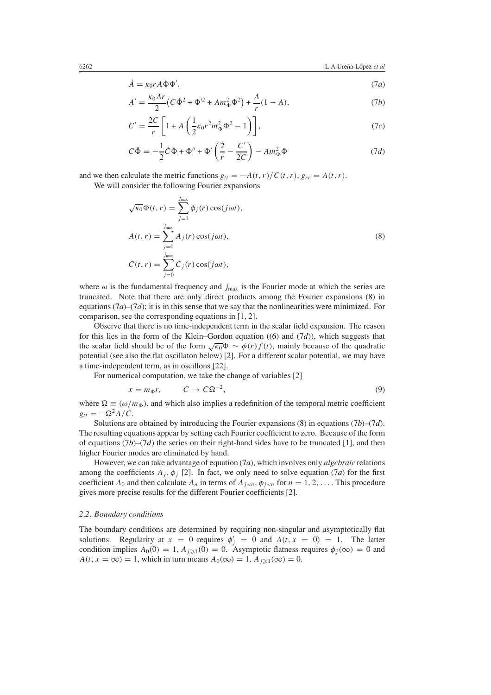<span id="page-3-1"></span>
$$
\dot{A} = \kappa_0 r A \dot{\Phi} \Phi',\tag{7a}
$$

<span id="page-3-3"></span>
$$
A' = \frac{\kappa_0 A r}{2} \left( C \dot{\Phi}^2 + \Phi'^2 + A m_{\Phi}^2 \Phi^2 \right) + \frac{A}{r} (1 - A),\tag{7b}
$$

$$
C' = \frac{2C}{r} \left[ 1 + A \left( \frac{1}{2} \kappa_0 r^2 m_{\Phi}^2 \Phi^2 - 1 \right) \right],
$$
 (7*c*)

$$
C\ddot{\Phi} = -\frac{1}{2}\dot{C}\dot{\Phi} + \Phi'' + \Phi'\left(\frac{2}{r} - \frac{C'}{2C}\right) - Am_{\Phi}^2\Phi\tag{7d}
$$

<span id="page-3-2"></span><span id="page-3-0"></span>and we then calculate the metric functions  $g_{tt} = -A(t, r)/C(t, r), g_{rr} = A(t, r)$ . We will consider the following Fourier expansions

$$
\sqrt{\kappa_0} \Phi(t, r) = \sum_{j=1}^{j_{\text{max}}} \phi_j(r) \cos(j\omega t),
$$
  
\n
$$
A(t, r) = \sum_{j=0}^{j_{\text{max}}} A_j(r) \cos(j\omega t),
$$
  
\n
$$
C(t, r) = \sum_{j=0}^{j_{\text{max}}} C_j(r) \cos(j\omega t),
$$
\n(8)

where  $\omega$  is the fundamental frequency and  $j_{\text{max}}$  is the Fourier mode at which the series are truncated. Note that there are only direct products among the Fourier expansions [\(8\)](#page-3-0) in equations  $(7a)$  $(7a)$ – $(7d)$ ; it is in this sense that we say that the nonlinearities were minimized. For comparison, see the corresponding equations in [1, 2].

Observe that there is no time-independent term in the scalar field expansion. The reason for this lies in the form of the Klein–Gordon equation ([\(6\)](#page-2-3) and [\(7](#page-3-2)*d*)), which suggests that the scalar field should be of the form  $\sqrt{\kappa_0} \Phi \sim \phi(r) f(t)$ , mainly because of the quadratic potential (see also the flat oscillaton below) [2]. For a different scalar potential, we may have a time-independent term, as in oscillons [22].

<span id="page-3-4"></span>For numerical computation, we take the change of variables [2]

$$
x = m_{\Phi} r, \qquad C \to C \Omega^{-2}, \tag{9}
$$

where  $\Omega \equiv (\omega/m_{\Phi})$ , and which also implies a redefinition of the temporal metric coefficient  $g_{tt} = -\Omega^2 A / C$ .

Solutions are obtained by introducing the Fourier expansions [\(8\)](#page-3-0) in equations [\(7](#page-3-3)*b*)–[\(7](#page-3-2)*d*). The resulting equations appear by setting each Fourier coefficient to zero. Because of the form of equations [\(7](#page-3-3)*b*)–[\(7](#page-3-2)*d*) the series on their right-hand sides have to be truncated [1], and then higher Fourier modes are eliminated by hand.

However, we can take advantage of equation [\(7](#page-3-1)*a*), which involves only *algebraic* relations among the coefficients  $A_j$ ,  $\phi_j$  [2]. In fact, we only need to solve equation [\(7](#page-3-1)*a*) for the first coefficient  $A_0$  and then calculate  $A_n$  in terms of  $A_{i \leq n}$ ,  $\phi_{i \leq n}$  for  $n = 1, 2, \ldots$ . This procedure gives more precise results for the different Fourier coefficients [2].

#### *2.2. Boundary conditions*

The boundary conditions are determined by requiring non-singular and asymptotically flat solutions. Regularity at  $x = 0$  requires  $\phi'_j = 0$  and  $A(t, x = 0) = 1$ . The latter condition implies  $A_0(0) = 1, A_{i \ge 1}(0) = 0$ . Asymptotic flatness requires  $\phi_i(\infty) = 0$  and *A*(*t*, *x* = ∞) = 1, which in turn means  $A_0(\infty) = 1$ ,  $A_{i \ge 1}(\infty) = 0$ .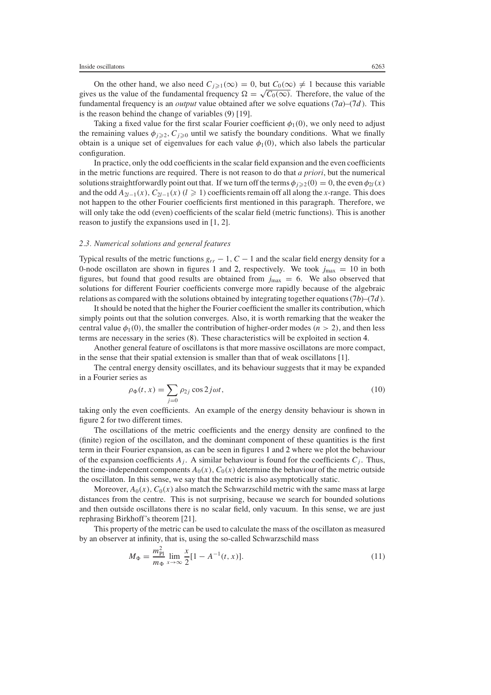On the other hand, we also need  $C_{j\geq1}(\infty) = 0$ , but  $C_0(\infty) \neq 1$  because this variable gives us the value of the fundamental frequency  $\Omega = \sqrt{C_0(\infty)}$ . Therefore, the value of the fundamental frequency is an *output* value obtained after we solve equations [\(7](#page-3-1)*a*)–[\(7](#page-3-2)*d* ). This is the reason behind the change of variables [\(9\)](#page-3-4) [19].

Taking a fixed value for the first scalar Fourier coefficient  $\phi_1(0)$ , we only need to adjust the remaining values  $\phi_{i\geqslant 2}$ ,  $C_{i\geqslant 0}$  until we satisfy the boundary conditions. What we finally obtain is a unique set of eigenvalues for each value  $\phi_1(0)$ , which also labels the particular configuration.

In practice, only the odd coefficients in the scalar field expansion and the even coefficients in the metric functions are required. There is not reason to do that *a priori*, but the numerical solutions straightforwardly point out that. If we turn off the terms  $\phi_{i \geq 2}(0) = 0$ , the even  $\phi_{2l}(x)$ and the odd  $A_{2l-1}(x)$ ,  $C_{2l-1}(x)$  ( $l \ge 1$ ) coefficients remain off all along the *x*-range. This does not happen to the other Fourier coefficients first mentioned in this paragraph. Therefore, we will only take the odd (even) coefficients of the scalar field (metric functions). This is another reason to justify the expansions used in [1, 2].

## *2.3. Numerical solutions and general features*

Typical results of the metric functions  $g_{rr} - 1$ ,  $C - 1$  and the scalar field energy density for a 0-node oscillaton are shown in figures [1](#page-5-0) and [2,](#page-6-0) respectively. We took  $j_{\text{max}} = 10$  in both figures, but found that good results are obtained from  $j_{\text{max}} = 6$ . We also observed that solutions for different Fourier coefficients converge more rapidly because of the algebraic relations as compared with the solutions obtained by integrating together equations [\(7](#page-3-3)*b*)–[\(7](#page-3-2)*d* ).

It should be noted that the higher the Fourier coefficient the smaller its contribution, which simply points out that the solution converges. Also, it is worth remarking that the weaker the central value  $\phi_1(0)$ , the smaller the contribution of higher-order modes  $(n > 2)$ , and then less terms are necessary in the series [\(8\)](#page-3-0). These characteristics will be exploited in section [4.](#page-10-0)

Another general feature of oscillatons is that more massive oscillatons are more compact, in the sense that their spatial extension is smaller than that of weak oscillatons [1].

<span id="page-4-1"></span>The central energy density oscillates, and its behaviour suggests that it may be expanded in a Fourier series as

$$
\rho_{\Phi}(t,x) = \sum_{j=0}^{\infty} \rho_{2j} \cos 2j\omega t, \qquad (10)
$$

taking only the even coefficients. An example of the energy density behaviour is shown in figure [2](#page-6-0) for two different times.

The oscillations of the metric coefficients and the energy density are confined to the (finite) region of the oscillaton, and the dominant component of these quantities is the first term in their Fourier expansion, as can be seen in figures [1](#page-5-0) and [2](#page-6-0) where we plot the behaviour of the expansion coefficients  $A_j$ . A similar behaviour is found for the coefficients  $C_j$ . Thus, the time-independent components  $A_0(x)$ ,  $C_0(x)$  determine the behaviour of the metric outside the oscillaton. In this sense, we say that the metric is also asymptotically static.

Moreover,  $A_0(x)$ ,  $C_0(x)$  also match the Schwarzschild metric with the same mass at large distances from the centre. This is not surprising, because we search for bounded solutions and then outside oscillatons there is no scalar field, only vacuum. In this sense, we are just rephrasing Birkhoff's theorem [21].

<span id="page-4-0"></span>This property of the metric can be used to calculate the mass of the oscillaton as measured by an observer at infinity, that is, using the so-called Schwarzschild mass

$$
M_{\Phi} = \frac{m_{\rm Pl}^2}{m_{\Phi}} \lim_{x \to \infty} \frac{x}{2} [1 - A^{-1}(t, x)].
$$
\n(11)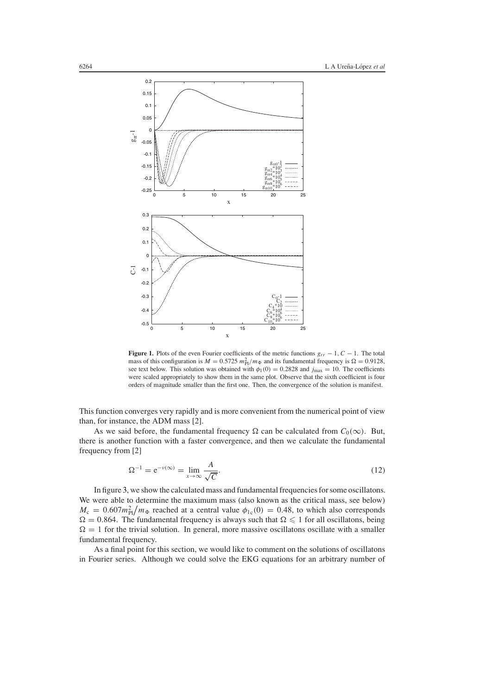

<span id="page-5-0"></span>**Figure 1.** Plots of the even Fourier coefficients of the metric functions  $g_{rr} - 1$ ,  $C - 1$ . The total mass of this configuration is  $M = 0.5725 m_{\text{Pl}}^2/m_{\Phi}$  and its fundamental frequency is  $\Omega = 0.9128$ , see text below. This solution was obtained with  $\phi_1(0) = 0.2828$  and  $j_{\text{max}} = 10$ . The coefficients were scaled appropriately to show them in the same plot. Observe that the sixth coefficient is four orders of magnitude smaller than the first one. Then, the convergence of the solution is manifest.

This function converges very rapidly and is more convenient from the numerical point of view than, for instance, the ADM mass [2].

As we said before, the fundamental frequency  $\Omega$  can be calculated from  $C_0(\infty)$ . But, there is another function with a faster convergence, and then we calculate the fundamental frequency from [2]

$$
\Omega^{-1} = e^{-\nu(\infty)} = \lim_{x \to \infty} \frac{A}{\sqrt{C}}.
$$
\n(12)

<span id="page-5-1"></span>In figure [3,](#page-6-1) we show the calculated mass and fundamental frequencies for some oscillatons. We were able to determine the maximum mass (also known as the critical mass, see below)  $M_c = 0.607 m_{\rm Pl}^2/m_{\Phi}$  reached at a central value  $\phi_{1c}(0) = 0.48$ , to which also corresponds  $\Omega = 0.864$ . The fundamental frequency is always such that  $\Omega \leq 1$  for all oscillatons, being  $\Omega = 1$  for the trivial solution. In general, more massive oscillatons oscillate with a smaller fundamental frequency.

As a final point for this section, we would like to comment on the solutions of oscillatons in Fourier series. Although we could solve the EKG equations for an arbitrary number of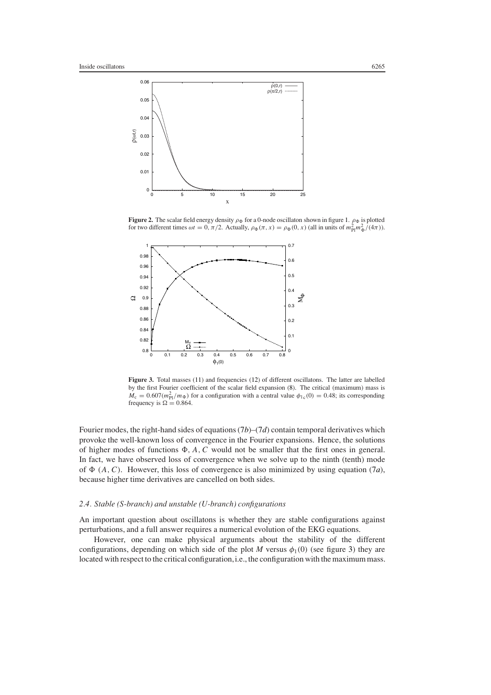

**Figure 2.** The scalar field energy density  $\rho_{\Phi}$  for a 0-node oscillaton shown in figure [1.](#page-5-0)  $\rho_{\Phi}$  is plotted for two different times  $\omega t = 0$ ,  $\pi/2$ . Actually,  $\rho_{\Phi}(\pi, x) = \rho_{\Phi}(0, x)$  (all in units of  $m_{\rm Pl}^2 m_{\Phi}^2/(4\pi)$ ).

<span id="page-6-0"></span>

<span id="page-6-1"></span>Figure 3. Total masses [\(11\)](#page-4-0) and frequencies [\(12\)](#page-5-1) of different oscillatons. The latter are labelled by the first Fourier coefficient of the scalar field expansion [\(8\)](#page-3-0). The critical (maximum) mass is  $M_c = 0.607(m_{\text{Pl}}^2/m_\Phi)$  for a configuration with a central value  $\phi_{1c}(0) = 0.48$ ; its corresponding frequency is  $\Omega = 0.864$ .

Fourier modes, the right-hand sides of equations [\(7](#page-3-3)*b*)–[\(7](#page-3-2)*d*) contain temporal derivatives which provoke the well-known loss of convergence in the Fourier expansions. Hence, the solutions of higher modes of functions  $\Phi$ , A, C would not be smaller that the first ones in general. In fact, we have observed loss of convergence when we solve up to the ninth (tenth) mode of  $\Phi$  (A, C). However, this loss of convergence is also minimized by using equation [\(7](#page-3-1)*a*), because higher time derivatives are cancelled on both sides.

#### *2.4. Stable (S-branch) and unstable (U-branch) configurations*

An important question about oscillatons is whether they are stable configurations against perturbations, and a full answer requires a numerical evolution of the EKG equations.

However, one can make physical arguments about the stability of the different configurations, depending on which side of the plot *M* versus  $\phi_1(0)$  (see figure [3\)](#page-6-1) they are located with respect to the critical configuration, i.e., the configuration with the maximum mass.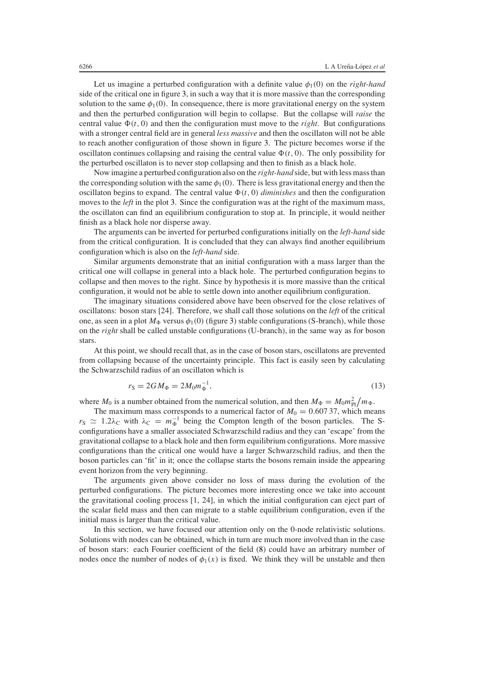Let us imagine a perturbed configuration with a definite value  $\phi_1(0)$  on the *right-hand* side of the critical one in figure [3,](#page-6-1) in such a way that it is more massive than the corresponding solution to the same  $\phi_1(0)$ . In consequence, there is more gravitational energy on the system and then the perturbed configuration will begin to collapse. But the collapse will *raise* the central value  $\Phi(t, 0)$  and then the configuration must move to the *right*. But configurations with a stronger central field are in general *less massive* and then the oscillaton will not be able to reach another configuration of those shown in figure [3.](#page-6-1) The picture becomes worse if the oscillaton continues collapsing and raising the central value  $\Phi(t, 0)$ . The only possibility for the perturbed oscillaton is to never stop collapsing and then to finish as a black hole.

Now imagine a perturbed configuration also on the *right-hand* side, but with less mass than the corresponding solution with the same  $\phi_1(0)$ . There is less gravitational energy and then the oscillaton begins to expand. The central value  $\Phi(t, 0)$  *diminishes* and then the configuration moves to the *left* in the plot [3.](#page-6-1) Since the configuration was at the right of the maximum mass, the oscillaton can find an equilibrium configuration to stop at. In principle, it would neither finish as a black hole nor disperse away.

The arguments can be inverted for perturbed configurations initially on the *left-hand* side from the critical configuration. It is concluded that they can always find another equilibrium configuration which is also on the *left-hand* side.

Similar arguments demonstrate that an initial configuration with a mass larger than the critical one will collapse in general into a black hole. The perturbed configuration begins to collapse and then moves to the right. Since by hypothesis it is more massive than the critical configuration, it would not be able to settle down into another equilibrium configuration.

The imaginary situations considered above have been observed for the close relatives of oscillatons: boson stars [24]. Therefore, we shall call those solutions on the *left* of the critical one, as seen in a plot  $M_{\Phi}$  versus  $\phi_1(0)$  (figure [3\)](#page-6-1) stable configurations (S-branch), while those on the *right* shall be called unstable configurations (U-branch), in the same way as for boson stars.

At this point, we should recall that, as in the case of boson stars, oscillatons are prevented from collapsing because of the uncertainty principle. This fact is easily seen by calculating the Schwarzschild radius of an oscillaton which is

$$
r_{\rm S} = 2GM_{\Phi} = 2M_0 m_{\Phi}^{-1},\tag{13}
$$

where  $M_0$  is a number obtained from the numerical solution, and then  $M_{\Phi} = M_0 m_{\rm Pl}^2 / m_{\Phi}$ .

The maximum mass corresponds to a numerical factor of  $M_0 = 0.60737$ , which means  $r_S \simeq 1.2\lambda_C$  with  $\lambda_C = m_{\Phi}^{-1}$  being the Compton length of the boson particles. The Sconfigurations have a smaller associated Schwarzschild radius and they can 'escape' from the gravitational collapse to a black hole and then form equilibrium configurations. More massive configurations than the critical one would have a larger Schwarzschild radius, and then the boson particles can 'fit' in it; once the collapse starts the bosons remain inside the appearing event horizon from the very beginning.

The arguments given above consider no loss of mass during the evolution of the perturbed configurations. The picture becomes more interesting once we take into account the gravitational cooling process [1, 24], in which the initial configuration can eject part of the scalar field mass and then can migrate to a stable equilibrium configuration, even if the initial mass is larger than the critical value.

In this section, we have focused our attention only on the 0-node relativistic solutions. Solutions with nodes can be obtained, which in turn are much more involved than in the case of boson stars: each Fourier coefficient of the field [\(8\)](#page-3-0) could have an arbitrary number of nodes once the number of nodes of  $\phi_1(x)$  is fixed. We think they will be unstable and then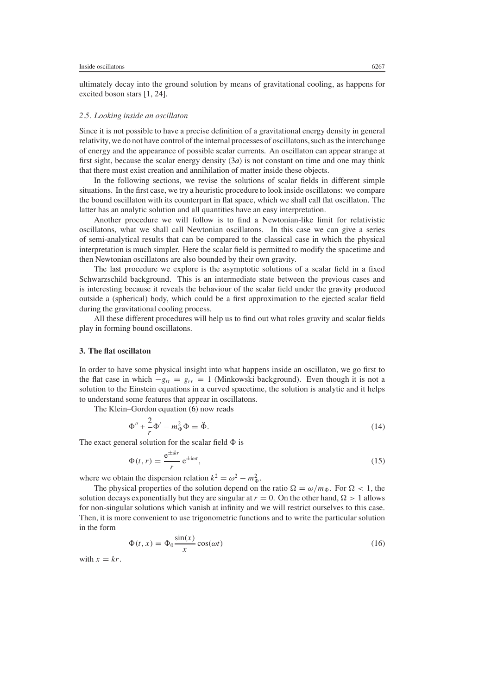ultimately decay into the ground solution by means of gravitational cooling, as happens for excited boson stars [1, 24].

## *2.5. Looking inside an oscillaton*

Since it is not possible to have a precise definition of a gravitational energy density in general relativity, we do not have control of the internal processes of oscillatons, such as the interchange of energy and the appearance of possible scalar currents. An oscillaton can appear strange at first sight, because the scalar energy density [\(3](#page-2-4)*a*) is not constant on time and one may think that there must exist creation and annihilation of matter inside these objects.

In the following sections, we revise the solutions of scalar fields in different simple situations. In the first case, we try a heuristic procedure to look inside oscillatons: we compare the bound oscillaton with its counterpart in flat space, which we shall call flat oscillaton. The latter has an analytic solution and all quantities have an easy interpretation.

Another procedure we will follow is to find a Newtonian-like limit for relativistic oscillatons, what we shall call Newtonian oscillatons. In this case we can give a series of semi-analytical results that can be compared to the classical case in which the physical interpretation is much simpler. Here the scalar field is permitted to modify the spacetime and then Newtonian oscillatons are also bounded by their own gravity.

The last procedure we explore is the asymptotic solutions of a scalar field in a fixed Schwarzschild background. This is an intermediate state between the previous cases and is interesting because it reveals the behaviour of the scalar field under the gravity produced outside a (spherical) body, which could be a first approximation to the ejected scalar field during the gravitational cooling process.

All these different procedures will help us to find out what roles gravity and scalar fields play in forming bound oscillatons.

## <span id="page-8-0"></span>**3. The flat oscillaton**

In order to have some physical insight into what happens inside an oscillaton, we go first to the flat case in which  $-g_{tt} = g_{rr} = 1$  (Minkowski background). Even though it is not a solution to the Einstein equations in a curved spacetime, the solution is analytic and it helps to understand some features that appear in oscillatons.

The Klein–Gordon equation [\(6\)](#page-2-3) now reads

$$
\Phi'' + \frac{2}{r}\Phi' - m^2\Phi \Phi = \ddot{\Phi}.
$$
\n(14)

The exact general solution for the scalar field  $\Phi$  is

$$
\Phi(t,r) = \frac{e^{\pm ikr}}{r} e^{\pm i\omega t},\tag{15}
$$

where we obtain the dispersion relation  $k^2 = \omega^2 - m_{\Phi}^2$ .

The physical properties of the solution depend on the ratio  $\Omega = \omega/m_{\Phi}$ . For  $\Omega < 1$ , the solution decays exponentially but they are singular at  $r = 0$ . On the other hand,  $\Omega > 1$  allows for non-singular solutions which vanish at infinity and we will restrict ourselves to this case. Then, it is more convenient to use trigonometric functions and to write the particular solution in the form

$$
\Phi(t, x) = \Phi_0 \frac{\sin(x)}{x} \cos(\omega t) \tag{16}
$$

<span id="page-8-1"></span>with  $x = kr$ .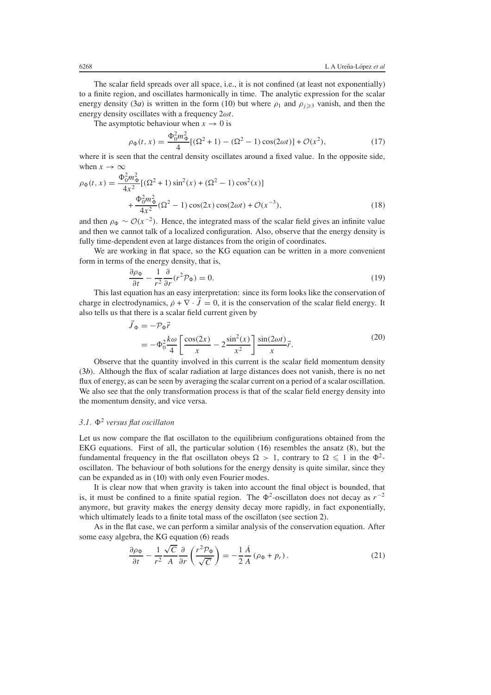The scalar field spreads over all space, i.e., it is not confined (at least not exponentially) to a finite region, and oscillates harmonically in time. The analytic expression for the scalar energy density [\(3](#page-2-4)*a*) is written in the form [\(10\)](#page-4-1) but where  $\rho_1$  and  $\rho_{i \geq 3}$  vanish, and then the energy density oscillates with a frequency 2*ωt*.

The asymptotic behaviour when  $x \to 0$  is

$$
\rho_{\Phi}(t,x) = \frac{\Phi_0^2 m_{\Phi}^2}{4} [(\Omega^2 + 1) - (\Omega^2 - 1)\cos(2\omega t)] + \mathcal{O}(x^2),\tag{17}
$$

where it is seen that the central density oscillates around a fixed value. In the opposite side, when  $x \to \infty$ 

$$
\rho_{\Phi}(t, x) = \frac{\Phi_0^2 m_{\Phi}^2}{4x^2} [(\Omega^2 + 1) \sin^2(x) + (\Omega^2 - 1) \cos^2(x)] + \frac{\Phi_0^2 m_{\Phi}^2}{4x^2} (\Omega^2 - 1) \cos(2x) \cos(2\omega t) + \mathcal{O}(x^{-3}),
$$
\n(18)

and then  $\rho_{\Phi} \sim \mathcal{O}(x^{-2})$ . Hence, the integrated mass of the scalar field gives an infinite value and then we cannot talk of a localized configuration. Also, observe that the energy density is fully time-dependent even at large distances from the origin of coordinates.

<span id="page-9-1"></span>We are working in flat space, so the KG equation can be written in a more convenient form in terms of the energy density, that is,

$$
\frac{\partial \rho_{\Phi}}{\partial t} - \frac{1}{r^2} \frac{\partial}{\partial r} (r^2 \mathcal{P}_{\Phi}) = 0. \tag{19}
$$

This last equation has an easy interpretation: since its form looks like the conservation of charge in electrodynamics,  $\dot{\rho} + \nabla \cdot \vec{J} = 0$ , it is the conservation of the scalar field energy. It also tells us that there is a scalar field current given by

$$
\vec{J}_{\Phi} = -\mathcal{P}_{\Phi}\vec{r}
$$
  
=  $-\Phi_0^2 \frac{k\omega}{4} \left[ \frac{\cos(2x)}{x} - 2\frac{\sin^2(x)}{x^2} \right] \frac{\sin(2\omega t)}{x} \vec{r}.$  (20)

Observe that the quantity involved in this current is the scalar field momentum density [\(3](#page-2-5)*b*). Although the flux of scalar radiation at large distances does not vanish, there is no net flux of energy, as can be seen by averaging the scalar current on a period of a scalar oscillation. We also see that the only transformation process is that of the scalar field energy density into the momentum density, and vice versa.

## *3.1.* <sup>2</sup> *versus flat oscillaton*

Let us now compare the flat oscillaton to the equilibrium configurations obtained from the EKG equations. First of all, the particular solution [\(16\)](#page-8-1) resembles the ansatz [\(8\)](#page-3-0), but the fundamental frequency in the flat oscillaton obeys  $\Omega > 1$ , contrary to  $\Omega \leq 1$  in the  $\Phi^2$ oscillaton. The behaviour of both solutions for the energy density is quite similar, since they can be expanded as in [\(10\)](#page-4-1) with only even Fourier modes.

It is clear now that when gravity is taken into account the final object is bounded, that is, it must be confined to a finite spatial region. The  $\Phi^2$ -oscillaton does not decay as  $r^{-2}$ anymore, but gravity makes the energy density decay more rapidly, in fact exponentially, which ultimately leads to a finite total mass of the oscillaton (see section [2\)](#page-2-0).

<span id="page-9-0"></span>As in the flat case, we can perform a similar analysis of the conservation equation. After some easy algebra, the KG equation [\(6\)](#page-2-3) reads<br>  $\partial \rho_{\Phi} = 1 \sqrt{C} \partial (r^2 \mathcal{P}_{\Phi})$ 

$$
\frac{\partial \rho_{\Phi}}{\partial t} - \frac{1}{r^2} \frac{\sqrt{C}}{A} \frac{\partial}{\partial r} \left( \frac{r^2 \mathcal{P}_{\Phi}}{\sqrt{C}} \right) = -\frac{1}{2} \frac{\dot{A}}{A} \left( \rho_{\Phi} + p_r \right). \tag{21}
$$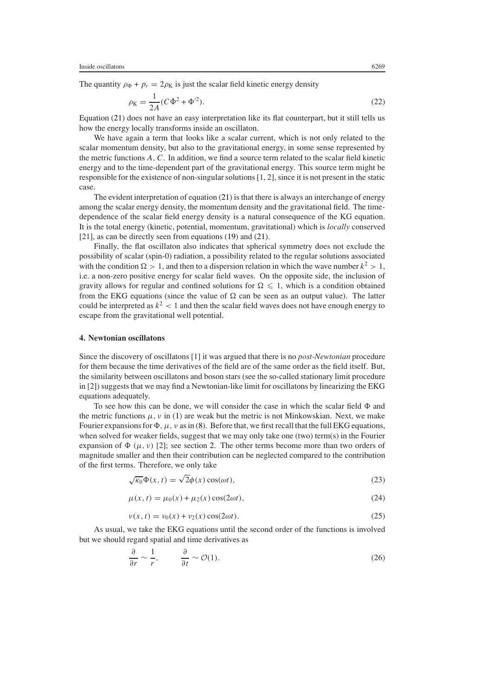The quantity  $\rho_{\Phi} + p_r = 2\rho_{\rm K}$  is just the scalar field kinetic energy density

$$
\rho_{\rm K} = \frac{1}{2A} (C \dot{\Phi}^2 + {\Phi'}^2). \tag{22}
$$

Equation [\(21\)](#page-9-0) does not have an easy interpretation like its flat counterpart, but it still tells us how the energy locally transforms inside an oscillaton.

We have again a term that looks like a scalar current, which is not only related to the scalar momentum density, but also to the gravitational energy, in some sense represented by the metric functions *A,C*. In addition, we find a source term related to the scalar field kinetic energy and to the time-dependent part of the gravitational energy. This source term might be responsible for the existence of non-singular solutions [1, 2], since it is not present in the static case.

The evident interpretation of equation  $(21)$  is that there is always an interchange of energy among the scalar energy density, the momentum density and the gravitational field. The timedependence of the scalar field energy density is a natural consequence of the KG equation. It is the total energy (kinetic, potential, momentum, gravitational) which is *locally* conserved [21], as can be directly seen from equations [\(19\)](#page-9-1) and [\(21\)](#page-9-0).

Finally, the flat oscillaton also indicates that spherical symmetry does not exclude the possibility of scalar (spin-0) radiation, a possibility related to the regular solutions associated with the condition  $\Omega > 1$ , and then to a dispersion relation in which the wave number  $k^2 > 1$ , i.e. a non-zero positive energy for scalar field waves. On the opposite side, the inclusion of gravity allows for regular and confined solutions for  $\Omega \leq 1$ , which is a condition obtained from the EKG equations (since the value of  $\Omega$  can be seen as an output value). The latter could be interpreted as  $k^2 < 1$  and then the scalar field waves does not have enough energy to escape from the gravitational well potential.

## <span id="page-10-0"></span>**4. Newtonian oscillatons**

Since the discovery of oscillatons [1] it was argued that there is no *post-Newtonian* procedure for them because the time derivatives of the field are of the same order as the field itself. But, the similarity between oscillatons and boson stars (see the so-called stationary limit procedure in [2]) suggests that we may find a Newtonian-like limit for oscillatons by linearizing the EKG equations adequately.

To see how this can be done, we will consider the case in which the scalar field  $\Phi$  and the metric functions  $\mu$ ,  $\nu$  in [\(1\)](#page-2-6) are weak but the metric is not Minkowskian. Next, we make Fourier expansions for  $\Phi$ ,  $\mu$ ,  $\nu$  as in [\(8\)](#page-3-0). Before that, we first recall that the full EKG equations, when solved for weaker fields, suggest that we may only take one (two) term(s) in the Fourier expansion of  $\Phi(\mu, \nu)$  [2]; see section [2.](#page-2-0) The other terms become more than two orders of magnitude smaller and then their contribution can be neglected compared to the contribution of the first terms. Therefore, we only take

$$
\sqrt{\kappa_0} \Phi(x, t) = \sqrt{2} \phi(x) \cos(\omega t), \qquad (23)
$$

$$
\mu(x, t) = \mu_0(x) + \mu_2(x) \cos(2\omega t),
$$
\n(24)

$$
v(x, t) = v_0(x) + v_2(x)\cos(2\omega t).
$$
 (25)

As usual, we take the EKG equations until the second order of the functions is involved but we should regard spatial and time derivatives as

$$
\frac{\partial}{\partial r} \sim \frac{1}{r}, \qquad \frac{\partial}{\partial t} \sim \mathcal{O}(1). \tag{26}
$$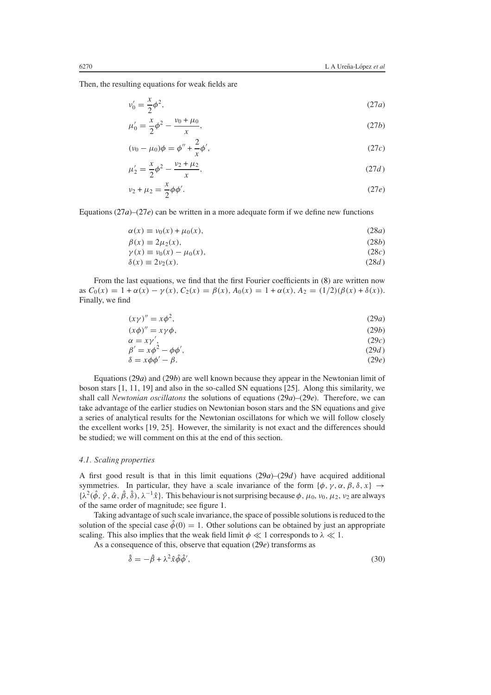<span id="page-11-0"></span>Then, the resulting equations for weak fields are

$$
\begin{aligned}\n v_0' &= \frac{x}{2} \phi^2, \\
 \mu_0' &= \frac{x}{2} \phi^2 - \frac{v_0 + \mu_0}{x},\n \end{aligned}\n \tag{27b}
$$

$$
\begin{aligned}\n &\text{(1)} \\
 &\text{(1)} \\
 &\text{(1)} \\
 &\text{(2)} \\
 &\text{(2)} \\
 &\text{(2)} \\
 &\text{(2)} \\
 &\text{(2)} \\
 &\text{(2)} \\
 &\text{(2)} \\
 &\text{(2)} \\
 &\text{(2)} \\
 &\text{(2)} \\
 &\text{(2)} \\
 &\text{(2)} \\
 &\text{(2)} \\
 &\text{(2)} \\
 &\text{(2)} \\
 &\text{(2)} \\
 &\text{(2)} \\
 &\text{(2)} \\
 &\text{(2)} \\
 &\text{(2)} \\
 &\text{(2)} \\
 &\text{(2)} \\
 &\text{(2)} \\
 &\text{(2)} \\
 &\text{(2)} \\
 &\text{(2)} \\
 &\text{(2)} \\
 &\text{(2)} \\
 &\text{(2)} \\
 &\text{(2)} \\
 &\text{(2)} \\
 &\text{(2)} \\
 &\text{(2)} \\
 &\text{(2)} \\
 &\text{(2)} \\
 &\text{(2)} \\
 &\text{(2)} \\
 &\text{(2)} \\
 &\text{(2)} \\
 &\text{(2)} \\
 &\text{(2)} \\
 &\text{(2)} \\
 &\text{(2)} \\
 &\text{(2)} \\
 &\text{(2)} \\
 &\text{(2)} \\
 &\text{(2)} \\
 &\text{(2)} \\
 &\text{(2)} \\
 &\text{(2)} \\
 &\text{(2)} \\
 &\text{(2)} \\
 &\text{(2)} \\
 &\text{(2)} \\
 &\text{(2)} \\
 &\text{(2)} \\
 &\text{(2)} \\
 &\text{(2)} \\
 &\text{(2)} \\
 &\text{(2)} \\
 &\text{(2)} \\
 &\text{(2)} \\
 &\text{(2)} \\
 &\text{(2)} \\
 &\text{(2)} \\
 &\text{(2)} \\
 &\text{(2)} \\
 &\text{(2)} \\
 &\text{(2)} \\
 &\text{(2)} \\
 &\text{(2)} \\
 &\text{(2)} \\
 &\text{(2)} \\
 &\text{(2)} \\
 &\text{(2)} \\
 &\text{(2)} \\
 &\text{(2)} \\
 &\text{(2)} \\
 &\text{(2)} \\
 &\text{(2)} \\
 &\text{(2)} \\
 &\text{(2)} \\
 &\text{(2)} \\
 &\text{(2)} \\
 &\text{(2)} \\
 &\text{(2)} \\
 &\text{(2)} \\
 &\text{(2)} \\
 &\text{(2)} \\
 &\text{(2)} \\
 &\text{(2)} \\
 &
$$

$$
\mu_2' = \frac{x}{2}\phi^2 - \frac{\nu_2 + \mu_2}{x},\tag{27d}
$$

$$
\nu_2 + \mu_2 = \frac{x}{2} \phi \phi'.\tag{27e}
$$

<span id="page-11-1"></span>Equations [\(27](#page-11-0)*a*)–[\(27](#page-11-1)*e*) can be written in a more adequate form if we define new functions

$$
\alpha(x) \equiv \nu_0(x) + \mu_0(x),
$$
  
\n
$$
\beta(x) \equiv 2\mu_2(x),
$$
\n(28*a*)

$$
\begin{aligned}\n\rho(x) &= 2\mu_2(x), \\
\rho(x) &= \nu_0(x) - \mu_0(x), \\
\delta(x) &= 2\nu_2(x).\n\end{aligned} \tag{28d}
$$

<span id="page-11-3"></span><span id="page-11-2"></span>From the last equations, we find that the first Fourier coefficients in [\(8\)](#page-3-0) are written now as  $C_0(x) = 1 + \alpha(x) - \gamma(x)$ ,  $C_2(x) = \beta(x)$ ,  $A_0(x) = 1 + \alpha(x)$ ,  $A_2 = (1/2)(\beta(x) + \delta(x))$ . Finally, we find

$$
(x\gamma)'' = x\phi^2,\tag{29a}
$$

$$
(x\phi)'' = x\gamma\phi,
$$
  
\n
$$
\alpha = x\gamma',
$$
\n(29b)  
\n(29c)

$$
\beta' = x\phi^2 - \phi\phi',\tag{29d}
$$

$$
\delta = x\phi\phi' - \beta. \tag{29e}
$$

<span id="page-11-5"></span><span id="page-11-4"></span>Equations [\(29](#page-11-2)*a*) and [\(29](#page-11-3)*b*) are well known because they appear in the Newtonian limit of boson stars [1, 11, 19] and also in the so-called SN equations [25]. Along this similarity, we shall call *Newtonian oscillatons* the solutions of equations [\(29](#page-11-2)*a*)–[\(29](#page-11-4)*e*). Therefore, we can take advantage of the earlier studies on Newtonian boson stars and the SN equations and give a series of analytical results for the Newtonian oscillatons for which we will follow closely the excellent works [19, 25]. However, the similarity is not exact and the differences should be studied; we will comment on this at the end of this section.

#### *4.1. Scaling properties*

A first good result is that in this limit equations [\(29](#page-11-2)*a*)–[\(29](#page-11-5)*d* ) have acquired additional symmetries. In particular, they have a scale invariance of the form  $\{\phi, \gamma, \alpha, \beta, \delta, x\} \rightarrow$  ${\lambda}^2(\hat{\phi}, \hat{\gamma}, \hat{\alpha}, \hat{\beta}, \hat{\delta}), \lambda^{-1}\hat{x}$ . This behaviour is not surprising because  $\phi$ ,  $\mu_0$ ,  $\nu_0$ ,  $\mu_2$ ,  $\nu_2$  are always of the same order of magnitude; see figure [1.](#page-5-0)

Taking advantage of such scale invariance, the space of possible solutions is reduced to the solution of the special case  $\hat{\phi}(0) = 1$ . Other solutions can be obtained by just an appropriate scaling. This also implies that the weak field limit  $\phi \ll 1$  corresponds to  $\lambda \ll 1$ .

As a consequence of this, observe that equation [\(29](#page-11-4)*e*) transforms as

$$
\hat{\delta} = -\hat{\beta} + \lambda^2 \hat{x} \hat{\phi} \hat{\phi}',\tag{30}
$$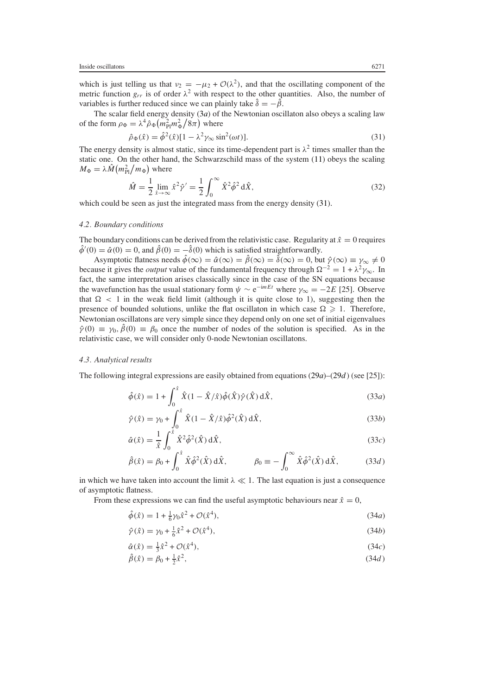which is just telling us that  $v_2 = -\mu_2 + \mathcal{O}(\lambda^2)$ , and that the oscillating component of the metric function  $g_{rr}$  is of order  $\lambda^2$  with respect to the other quantities. Also, the number of variables is further reduced since we can plainly take  $\hat{\delta} = -\hat{\beta}$ .

<span id="page-12-0"></span>The scalar field energy density [\(3](#page-2-4)*a*) of the Newtonian oscillaton also obeys a scaling law of the form  $\rho_{\Phi} = \lambda^4 \hat{\rho}_{\Phi} (m_{\rm Pl}^2 m_{\Phi}^2 / 8\pi)$  where

$$
\hat{\rho}_{\Phi}(\hat{x}) = \hat{\phi}^2(\hat{x})[1 - \lambda^2 \gamma_{\infty} \sin^2(\omega t)].
$$
\n(31)

The energy density is almost static, since its time-dependent part is  $\lambda^2$  times smaller than the static one. On the other hand, the Schwarzschild mass of the system [\(11\)](#page-4-0) obeys the scaling  $M_{\Phi} = \lambda \hat{M} (m_{\rm Pl}^2/m_{\Phi})$  where

$$
\hat{M} = \frac{1}{2} \lim_{\hat{x} \to \infty} \hat{x}^2 \hat{\gamma}' = \frac{1}{2} \int_0^\infty \hat{X}^2 \hat{\phi}^2 d\hat{X},\tag{32}
$$

which could be seen as just the integrated mass from the energy density [\(31\)](#page-12-0).

#### *4.2. Boundary conditions*

The boundary conditions can be derived from the relativistic case. Regularity at  $\hat{x} = 0$  requires  $\hat{\phi}'(0) = \hat{\alpha}(0) = 0$ , and  $\hat{\beta}(0) = -\hat{\delta}(0)$  which is satisfied straightforwardly.

Asymptotic flatness needs  $\hat{\phi}(\infty) = \hat{\alpha}(\infty) = \hat{\beta}(\infty) = \hat{\delta}(\infty) = 0$ , but  $\hat{\gamma}(\infty) \equiv \gamma_{\infty} \neq 0$ because it gives the *output* value of the fundamental frequency through  $\Omega^{-2} = 1 + \lambda^2 \gamma_{\infty}$ . In fact, the same interpretation arises classically since in the case of the SN equations because the wavefunction has the usual stationary form  $\psi \sim e^{-imEt}$  where  $\gamma_{\infty} = -2E$  [25]. Observe that  $\Omega$  < 1 in the weak field limit (although it is quite close to 1), suggesting then the presence of bounded solutions, unlike the flat oscillaton in which case  $\Omega \geqslant 1$ . Therefore, Newtonian oscillatons are very simple since they depend only on one set of initial eigenvalues  $\hat{\gamma}(0) \equiv \gamma_0$ ,  $\hat{\beta}(0) \equiv \beta_0$  once the number of nodes of the solution is specified. As in the relativistic case, we will consider only 0-node Newtonian oscillatons.

## *4.3. Analytical results*

The following integral expressions are easily obtained from equations  $(29a)$  $(29a)$ – $(29d)$  (see [25]):

$$
\hat{\phi}(\hat{x}) = 1 + \int_0^{\hat{x}} \hat{X}(1 - \hat{X}/\hat{x}) \hat{\phi}(\hat{X}) \hat{\phi}(\hat{X}) d\hat{X},
$$
\n(33*a*)

$$
\hat{\gamma}(\hat{x}) = \gamma_0 + \int_{0}^{\hat{x}} \hat{X}(1 - \hat{X}/\hat{x}) \hat{\phi}^2(\hat{X}) d\hat{X},
$$
\n(33*b*)

$$
\hat{\alpha}(\hat{x}) = \frac{1}{\hat{x}} \int_0^{\hat{x}} \hat{X}^2 \hat{\phi}^2(\hat{X}) d\hat{X},\tag{33c}
$$

$$
\hat{\beta}(\hat{x}) = \beta_0 + \int_0^{\hat{x}} \hat{X} \hat{\phi}^2(\hat{X}) d\hat{X}, \qquad \beta_0 \equiv -\int_0^{\infty} \hat{X} \hat{\phi}^2(\hat{X}) d\hat{X}, \qquad (33d)
$$

in which we have taken into account the limit  $\lambda \ll 1$ . The last equation is just a consequence of asymptotic flatness.

From these expressions we can find the useful asymptotic behaviours near  $\hat{x} = 0$ ,

$$
\hat{\phi}(\hat{x}) = 1 + \frac{1}{6}\gamma_0 \hat{x}^2 + \mathcal{O}(\hat{x}^4),\tag{34a}
$$

$$
\hat{\gamma}(\hat{x}) = \gamma_0 + \frac{1}{6}\hat{x}^2 + \mathcal{O}(\hat{x}^4),\tag{34b}
$$

$$
\hat{\alpha}(\hat{x}) = \frac{1}{3}\hat{x}^2 + \mathcal{O}(\hat{x}^4),\tag{34c}
$$

$$
\hat{\beta}(\hat{x}) = \beta_0 + \frac{1}{2}\hat{x}^2,\tag{34d}
$$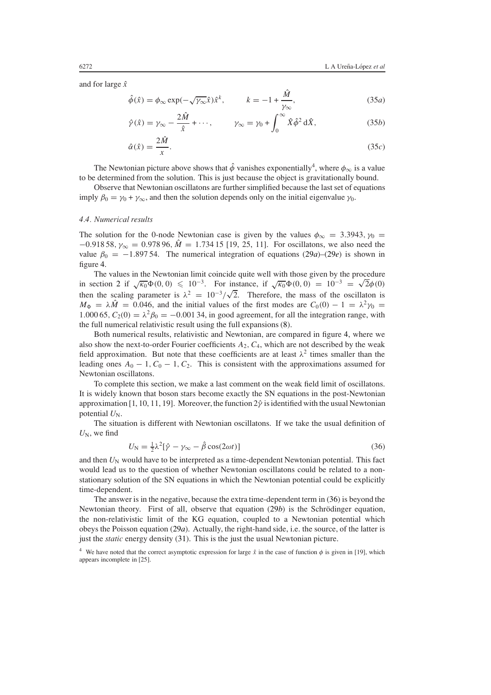and for large ˆ*x*

$$
\hat{\phi}(\hat{x}) = \phi_{\infty} \exp(-\sqrt{\gamma_{\infty}}\hat{x})\hat{x}^k, \qquad k = -1 + \frac{\hat{M}}{\gamma_{\infty}},
$$
\n(35*a*)

$$
\hat{\gamma}(\hat{x}) = \gamma_{\infty} - \frac{2\hat{M}}{\hat{x}} + \cdots, \qquad \gamma_{\infty} = \gamma_0 + \int_0^{\infty} \hat{X} \hat{\phi}^2 d\hat{X}, \qquad (35b)
$$

$$
\hat{\alpha}(\hat{x}) = \frac{2\hat{M}}{x}.\tag{35c}
$$

The Newtonian picture above shows that  $\hat{\phi}$  vanishes exponentially<sup>4</sup>, where  $\phi_{\infty}$  is a value to be determined from the solution. This is just because the object is gravitationally bound.

Observe that Newtonian oscillatons are further simplified because the last set of equations imply  $\beta_0 = \gamma_0 + \gamma_\infty$ , and then the solution depends only on the initial eigenvalue  $\gamma_0$ .

#### *4.4. Numerical results*

The solution for the 0-node Newtonian case is given by the values  $\phi_{\infty} = 3.3943, \gamma_0 =$ −0*.*918 58*, γ*<sup>∞</sup> = 0*.*978 96*, M*ˆ = 1*.*734 15 [19, 25, 11]. For oscillatons, we also need the value  $\beta_0 = -1.89754$ . The numerical integration of equations [\(29](#page-11-4)*a*)–(29*e*) is shown in figure [4.](#page-14-0)

The values in the Newtonian limit coincide quite well with those given by the procedure in section [2](#page-2-0) if  $\sqrt{\kappa_0} \Phi(0,0) \le 10^{-3}$ . For instance, if  $\sqrt{\kappa_0} \Phi(0,0) = 10^{-3} = \sqrt{2} \phi(0)$ then the scaling parameter is  $\lambda^2 = 10^{-3}/\sqrt{2}$ . Therefore, the mass of the oscillaton is  $M_{\Phi} = \lambda \hat{M} = 0.046$ , and the initial values of the first modes are  $C_0(0) - 1 = \lambda^2 \gamma_0 = 0$ 1.000 65,  $C_2(0) = \lambda^2 \beta_0 = -0.00134$ , in good agreement, for all the integration range, with the full numerical relativistic result using the full expansions [\(8\)](#page-3-0).

Both numerical results, relativistic and Newtonian, are compared in figure [4,](#page-14-0) where we also show the next-to-order Fourier coefficients *A*2*, C*4, which are not described by the weak field approximation. But note that these coefficients are at least  $\lambda^2$  times smaller than the leading ones  $A_0 - 1$ ,  $C_0 - 1$ ,  $C_2$ . This is consistent with the approximations assumed for Newtonian oscillatons.

To complete this section, we make a last comment on the weak field limit of oscillatons. It is widely known that boson stars become exactly the SN equations in the post-Newtonian approximation [1, 10, 11, 19]. Moreover, the function  $2\hat{y}$  is identified with the usual Newtonian potential  $U_N$ .

<span id="page-13-0"></span>The situation is different with Newtonian oscillatons. If we take the usual definition of  $U_N$ , we find

$$
U_{\rm N} = \frac{1}{2}\lambda^2[\hat{\gamma} - \gamma_{\infty} - \hat{\beta}\cos(2\omega t)]
$$
\n(36)

and then  $U_N$  would have to be interpreted as a time-dependent Newtonian potential. This fact would lead us to the question of whether Newtonian oscillatons could be related to a nonstationary solution of the SN equations in which the Newtonian potential could be explicitly time-dependent.

The answer is in the negative, because the extra time-dependent term in [\(36\)](#page-13-0) is beyond the Newtonian theory. First of all, observe that equation  $(29b)$  $(29b)$  is the Schrödinger equation, the non-relativistic limit of the KG equation, coupled to a Newtonian potential which obeys the Poisson equation [\(29](#page-11-2)*a*). Actually, the right-hand side, i.e. the source, of the latter is just the *static* energy density [\(31\)](#page-12-0). This is the just the usual Newtonian picture.

<sup>4</sup> We have noted that the correct asymptotic expression for large  $\hat{x}$  in the case of function  $\phi$  is given in [19], which appears incomplete in [25].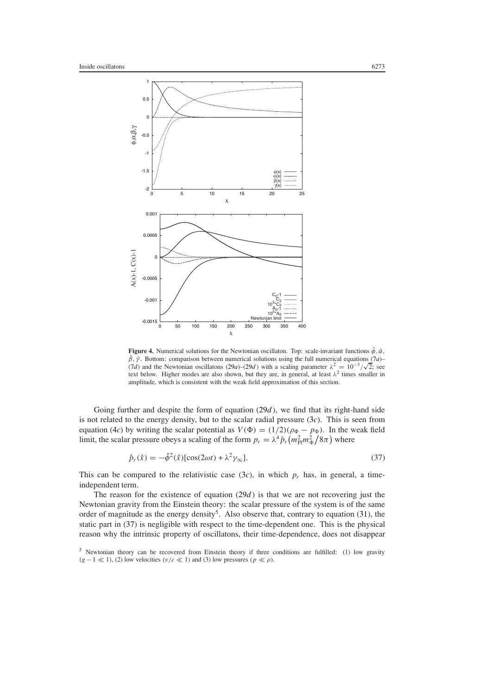

<span id="page-14-0"></span>**Figure 4.** Numerical solutions for the Newtonian oscillaton. Top: scale-invariant functions  $\hat{\phi}$ ,  $\hat{\alpha}$ ,  $\hat{\beta}$ ,  $\hat{\gamma}$ . Bottom: comparison between numerical solutions using the full numerical equations [\(7](#page-3-1)*a*)–  $\beta$ ,  $\gamma$ . Bottom: comparison between numerical solutions using the full numerical equations (*1a*)–[\(7](#page-3-2)*d*) and the Newtonian oscillatons [\(29](#page-11-5)*a*)–(29*d*) with a scaling parameter  $\lambda^2 = 10^{-3}/\sqrt{2}$ ; see text below. Higher modes are also shown, but they are, in general, at least  $\lambda^2$  times smaller in amplitude, which is consistent with the weak field approximation of this section.

Going further and despite the form of equation [\(29](#page-11-5)*d* ), we find that its right-hand side is not related to the energy density, but to the scalar radial pressure [\(3](#page-2-7)*c*). This is seen from equation [\(4](#page-2-8)*c*) by writing the scalar potential as  $V(\Phi) = (1/2)(\rho_{\Phi} - p_{\Phi})$ . In the weak field limit, the scalar pressure obeys a scaling of the form  $p_r = \lambda^4 \hat{p}_r \left( m_{\text{Pl}}^2 m_{\phi}^2 / 8\pi \right)$  where

$$
\hat{p}_r(\hat{x}) = -\hat{\phi}^2(\hat{x})[\cos(2\omega t) + \lambda^2 \gamma_{\infty}].
$$
\n(37)

<span id="page-14-1"></span>This can be compared to the relativistic case  $(3c)$  $(3c)$ , in which  $p_r$  has, in general, a timeindependent term.

The reason for the existence of equation [\(29](#page-11-5)*d* ) is that we are not recovering just the Newtonian gravity from the Einstein theory: the scalar pressure of the system is of the same order of magnitude as the energy density<sup>5</sup>. Also observe that, contrary to equation [\(31\)](#page-12-0), the static part in [\(37\)](#page-14-1) is negligible with respect to the time-dependent one. This is the physical reason why the intrinsic property of oscillatons, their time-dependence, does not disappear

<sup>5</sup> Newtonian theory can be recovered from Einstein theory if three conditions are fulfilled: (1) low gravity  $(g - 1 \ll 1)$ , (2) low velocities  $(v/c \ll 1)$  and (3) low pressures  $(p \ll \rho)$ .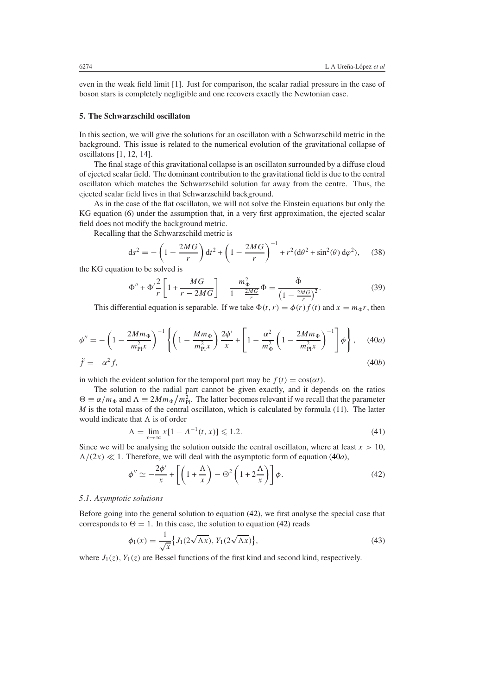even in the weak field limit [1]. Just for comparison, the scalar radial pressure in the case of boson stars is completely negligible and one recovers exactly the Newtonian case.

## <span id="page-15-0"></span>**5. The Schwarzschild oscillaton**

In this section, we will give the solutions for an oscillaton with a Schwarzschild metric in the background. This issue is related to the numerical evolution of the gravitational collapse of oscillatons [1, 12, 14].

The final stage of this gravitational collapse is an oscillaton surrounded by a diffuse cloud of ejected scalar field. The dominant contribution to the gravitational field is due to the central oscillaton which matches the Schwarzschild solution far away from the centre. Thus, the ejected scalar field lives in that Schwarzschild background.

As in the case of the flat oscillaton, we will not solve the Einstein equations but only the KG equation [\(6\)](#page-2-3) under the assumption that, in a very first approximation, the ejected scalar field does not modify the background metric.

Recalling that the Schwarzschild metric is

$$
ds^{2} = -\left(1 - \frac{2MG}{r}\right)dt^{2} + \left(1 - \frac{2MG}{r}\right)^{-1} + r^{2}(d\theta^{2} + \sin^{2}(\theta) d\varphi^{2}), \quad (38)
$$

the KG equation to be solved is

$$
\Phi'' + \Phi' \frac{2}{r} \left[ 1 + \frac{MG}{r - 2MG} \right] - \frac{m_{\Phi}^2}{1 - \frac{2MG}{r}} \Phi = \frac{\ddot{\Phi}}{\left( 1 - \frac{2MG}{r} \right)^2}.
$$
 (39)

This differential equation is separable. If we take  $\Phi(t, r) = \phi(r) f(t)$  and  $x = m_{\Phi} r$ , then

<span id="page-15-1"></span>
$$
\phi'' = -\left(1 - \frac{2Mm_{\Phi}}{m_{\rm Pl}^2 x}\right)^{-1} \left\{ \left(1 - \frac{Mm_{\Phi}}{m_{\rm Pl}^2 x}\right) \frac{2\phi'}{x} + \left[1 - \frac{\alpha^2}{m_{\Phi}^2} \left(1 - \frac{2Mm_{\Phi}}{m_{\rm Pl}^2 x}\right)^{-1} \right] \phi \right\}, \quad (40a)
$$
  

$$
\ddot{f} = -\alpha^2 f, \quad (40b)
$$

in which the evident solution for the temporal part may be  $f(t) = \cos(\alpha t)$ .

The solution to the radial part cannot be given exactly, and it depends on the ratios  $\Theta \equiv \alpha/m_{\Phi}$  and  $\Lambda \equiv 2Mm_{\Phi}/m_{\rm Pl}^2$ . The latter becomes relevant if we recall that the parameter *M* is the total mass of the central oscillaton, which is calculated by formula [\(11\)](#page-4-0). The latter would indicate that  $\Lambda$  is of order

$$
\Lambda = \lim_{x \to \infty} x[1 - A^{-1}(t, x)] \leq 1.2.
$$
 (41)

<span id="page-15-2"></span>Since we will be analysing the solution outside the central oscillaton, where at least  $x > 10$ ,  $\Lambda/(2x) \ll 1$ . Therefore, we will deal with the asymptotic form of equation [\(40](#page-15-1)*a*),

$$
\phi'' \simeq -\frac{2\phi'}{x} + \left[ \left( 1 + \frac{\Lambda}{x} \right) - \Theta^2 \left( 1 + 2\frac{\Lambda}{x} \right) \right] \phi. \tag{42}
$$

#### *5.1. Asymptotic solutions*

<span id="page-15-3"></span>Before going into the general solution to equation [\(42\)](#page-15-2), we first analyse the special case that corresponds to  $\Theta = 1$ . In this case, the solution to equation [\(42\)](#page-15-2) reads

$$
\phi_1(x) = \frac{1}{\sqrt{x}} \left\{ J_1(2\sqrt{\Lambda x}), Y_1(2\sqrt{\Lambda x}) \right\},\tag{43}
$$

where  $J_1(z)$ ,  $Y_1(z)$  are Bessel functions of the first kind and second kind, respectively.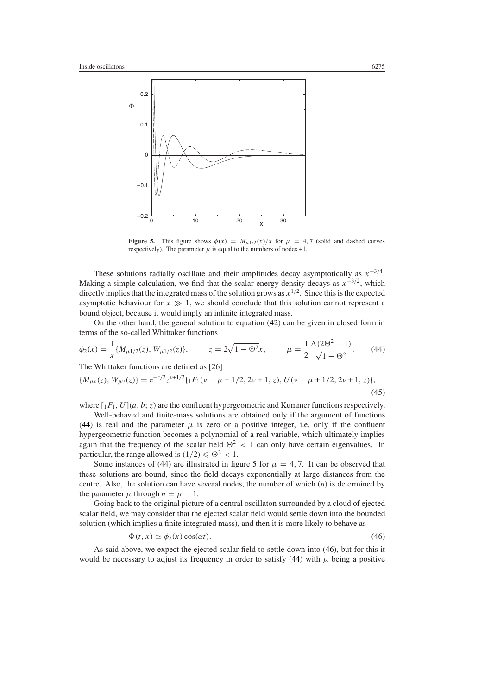

<span id="page-16-1"></span>**Figure 5.** This figure shows  $\phi(x) = M_{\mu 1/2}(x)/x$  for  $\mu = 4, 7$  (solid and dashed curves respectively). The parameter  $\mu$  is equal to the numbers of nodes +1.

These solutions radially oscillate and their amplitudes decay asymptotically as *x*−3*/*4. Making a simple calculation, we find that the scalar energy density decays as  $x^{-3/2}$ , which directly implies that the integrated mass of the solution grows as  $x^{1/2}$ . Since this is the expected asymptotic behaviour for  $x \gg 1$ , we should conclude that this solution cannot represent a bound object, because it would imply an infinite integrated mass.

On the other hand, the general solution to equation [\(42\)](#page-15-2) can be given in closed form in terms of the so-called Whittaker functions

<span id="page-16-0"></span>
$$
\phi_2(x) = \frac{1}{x} \{ M_{\mu 1/2}(z), W_{\mu 1/2}(z) \}, \qquad z = 2\sqrt{1 - \Theta^2} x, \qquad \mu = \frac{1}{2} \frac{\Lambda (2\Theta^2 - 1)}{\sqrt{1 - \Theta^2}}. \tag{44}
$$

The Whittaker functions are defined as [26]

$$
\{M_{\mu\nu}(z), W_{\mu\nu}(z)\} = e^{-z/2} z^{\nu+1/2} \{ {}_1F_1(\nu - \mu + 1/2, 2\nu + 1; z), U(\nu - \mu + 1/2, 2\nu + 1; z) \},\tag{45}
$$

where  $\int_1 F_1$ ,  $U(x, b; z)$  are the confluent hypergeometric and Kummer functions respectively.

Well-behaved and finite-mass solutions are obtained only if the argument of functions [\(44\)](#page-16-0) is real and the parameter  $\mu$  is zero or a positive integer, i.e. only if the confluent hypergeometric function becomes a polynomial of a real variable, which ultimately implies again that the frequency of the scalar field  $\Theta^2$  < 1 can only have certain eigenvalues. In particular, the range allowed is  $(1/2) \le \Theta^2 < 1$ .

Some instances of [\(44\)](#page-16-0) are illustrated in figure [5](#page-16-1) for  $\mu = 4, 7$ . It can be observed that these solutions are bound, since the field decays exponentially at large distances from the centre. Also, the solution can have several nodes, the number of which (*n*) is determined by the parameter  $\mu$  through  $n = \mu - 1$ .

Going back to the original picture of a central oscillaton surrounded by a cloud of ejected scalar field, we may consider that the ejected scalar field would settle down into the bounded solution (which implies a finite integrated mass), and then it is more likely to behave as

$$
\Phi(t, x) \simeq \phi_2(x) \cos(\alpha t). \tag{46}
$$

<span id="page-16-2"></span>As said above, we expect the ejected scalar field to settle down into [\(46\)](#page-16-2), but for this it would be necessary to adjust its frequency in order to satisfy  $(44)$  with  $\mu$  being a positive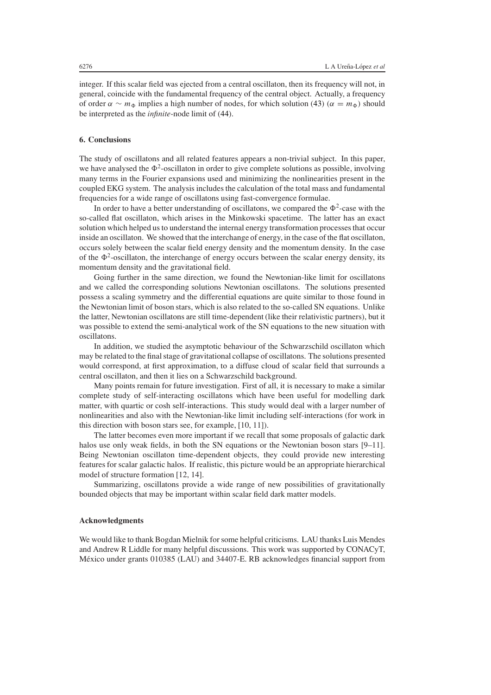integer. If this scalar field was ejected from a central oscillaton, then its frequency will not, in general, coincide with the fundamental frequency of the central object. Actually, a frequency of order  $\alpha \sim m_{\Phi}$  implies a high number of nodes, for which solution [\(43\)](#page-15-3)  $(\alpha = m_{\Phi})$  should be interpreted as the *infinite*-node limit of [\(44\)](#page-16-0).

## **6. Conclusions**

The study of oscillatons and all related features appears a non-trivial subject. In this paper, we have analysed the  $\Phi^2$ -oscillaton in order to give complete solutions as possible, involving many terms in the Fourier expansions used and minimizing the nonlinearities present in the coupled EKG system. The analysis includes the calculation of the total mass and fundamental frequencies for a wide range of oscillatons using fast-convergence formulae.

In order to have a better understanding of oscillatons, we compared the  $\Phi^2$ -case with the so-called flat oscillaton, which arises in the Minkowski spacetime. The latter has an exact solution which helped us to understand the internal energy transformation processes that occur inside an oscillaton. We showed that the interchange of energy, in the case of the flat oscillaton, occurs solely between the scalar field energy density and the momentum density. In the case of the  $\Phi^2$ -oscillaton, the interchange of energy occurs between the scalar energy density, its momentum density and the gravitational field.

Going further in the same direction, we found the Newtonian-like limit for oscillatons and we called the corresponding solutions Newtonian oscillatons. The solutions presented possess a scaling symmetry and the differential equations are quite similar to those found in the Newtonian limit of boson stars, which is also related to the so-called SN equations. Unlike the latter, Newtonian oscillatons are still time-dependent (like their relativistic partners), but it was possible to extend the semi-analytical work of the SN equations to the new situation with oscillatons.

In addition, we studied the asymptotic behaviour of the Schwarzschild oscillaton which may be related to the final stage of gravitational collapse of oscillatons. The solutions presented would correspond, at first approximation, to a diffuse cloud of scalar field that surrounds a central oscillaton, and then it lies on a Schwarzschild background.

Many points remain for future investigation. First of all, it is necessary to make a similar complete study of self-interacting oscillatons which have been useful for modelling dark matter, with quartic or cosh self-interactions. This study would deal with a larger number of nonlinearities and also with the Newtonian-like limit including self-interactions (for work in this direction with boson stars see, for example, [10, 11]).

The latter becomes even more important if we recall that some proposals of galactic dark halos use only weak fields, in both the SN equations or the Newtonian boson stars [9–11]. Being Newtonian oscillaton time-dependent objects, they could provide new interesting features for scalar galactic halos. If realistic, this picture would be an appropriate hierarchical model of structure formation [12, 14].

Summarizing, oscillatons provide a wide range of new possibilities of gravitationally bounded objects that may be important within scalar field dark matter models.

## **Acknowledgments**

We would like to thank Bogdan Mielnik for some helpful criticisms. LAU thanks Luis Mendes and Andrew R Liddle for many helpful discussions. This work was supported by CONACyT, México under grants 010385 (LAU) and 34407-E. RB acknowledges financial support from